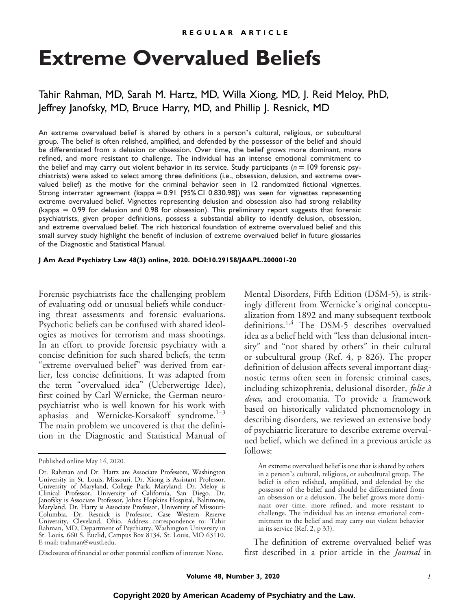# **Extreme Overvalued Beliefs**

# Tahir Rahman, MD, Sarah M. Hartz, MD, Willa Xiong, MD, J. Reid Meloy, PhD, Jeffrey Janofsky, MD, Bruce Harry, MD, and Phillip J. Resnick, MD

An extreme overvalued belief is shared by others in a person's cultural, religious, or subcultural group. The belief is often relished, amplified, and defended by the possessor of the belief and should be differentiated from a delusion or obsession. Over time, the belief grows more dominant, more refined, and more resistant to challenge. The individual has an intense emotional commitment to the belief and may carry out violent behavior in its service. Study participants ( $n = 109$  forensic psychiatrists) were asked to select among three definitions (i.e., obsession, delusion, and extreme overvalued belief) as the motive for the criminal behavior seen in 12 randomized fictional vignettes. Strong interrater agreement (kappa = 0.91 [95% CI 0.830.98]) was seen for vignettes representing extreme overvalued belief. Vignettes representing delusion and obsession also had strong reliability (kappa  $= 0.99$  for delusion and 0.98 for obsession). This preliminary report suggests that forensic psychiatrists, given proper definitions, possess a substantial ability to identify delusion, obsession, and extreme overvalued belief. The rich historical foundation of extreme overvalued belief and this small survey study highlight the benefit of inclusion of extreme overvalued belief in future glossaries of the Diagnostic and Statistical Manual.

#### **J Am Acad Psychiatry Law 48(3) online, 2020. DOI:10.29158/JAAPL.200001-20**

Forensic psychiatrists face the challenging problem of evaluating odd or unusual beliefs while conducting threat assessments and forensic evaluations. Psychotic beliefs can be confused with shared ideologies as motives for terrorism and mass shootings. In an effort to provide forensic psychiatry with a concise definition for such shared beliefs, the term "extreme overvalued belief" was derived from earlier, less concise definitions. It was adapted from the term "overvalued idea" (Ueberwertige Idee), first coined by Carl Wernicke, the German neuropsychiatrist who is well known for his work with aphasias and Wernicke-Korsakoff syndrome. $1-3$ The main problem we uncovered is that the definition in the Diagnostic and Statistical Manual of

Disclosures of financial or other potential conflicts of interest: None.

Mental Disorders, Fifth Edition (DSM-5), is strikingly different from Wernicke's original conceptualization from 1892 and many subsequent textbook definitions.<sup>1,4</sup> The DSM-5 describes overvalued idea as a belief held with "less than delusional intensity" and "not shared by others" in their cultural or subcultural group (Ref. 4, p 826). The proper definition of delusion affects several important diagnostic terms often seen in forensic criminal cases, including schizophrenia, delusional disorder, folie à deux, and erotomania. To provide a framework based on historically validated phenomenology in describing disorders, we reviewed an extensive body of psychiatric literature to describe extreme overvalued belief, which we defined in a previous article as follows:

The definition of extreme overvalued belief was first described in a prior article in the *Journal* in

Published online May 14, 2020.

Dr. Rahman and Dr. Hartz are Associate Professors, Washington University in St. Louis, Missouri. Dr. Xiong is Assistant Professor, University of Maryland, College Park, Maryland. Dr. Meloy is Clinical Professor, University of California, San Diego. Dr. Janofsky is Associate Professor, Johns Hopkins Hospital, Baltimore, Maryland. Dr. Harry is Associate Professor, University of Missouri-Columbia. Dr. Resnick is Professor, Case Western Reserve University, Cleveland, Ohio. Address correspondence to: Tahir Rahman, MD, Department of Psychiatry, Washington University in St. Louis, 660 S. Euclid, Campus Box 8134, St. Louis, MO 63110. E-mail: [trahman@wustl.edu](mailto:trahman@wustl.edu).

An extreme overvalued belief is one that is shared by others in a person's cultural, religious, or subcultural group. The belief is often relished, amplified, and defended by the possessor of the belief and should be differentiated from an obsession or a delusion. The belief grows more dominant over time, more refined, and more resistant to challenge. The individual has an intense emotional commitment to the belief and may carry out violent behavior in its service (Ref. 2, p 33).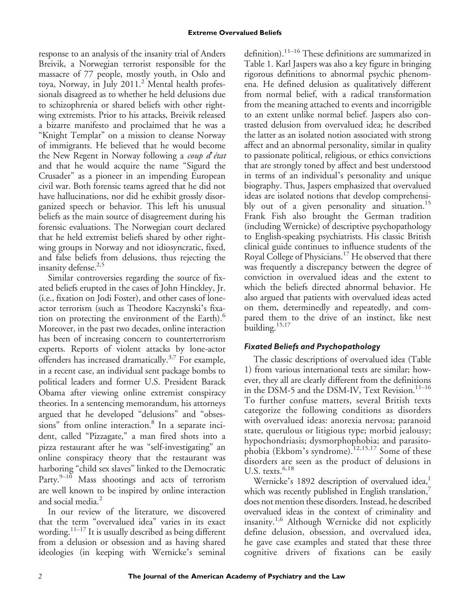response to an analysis of the insanity trial of Anders Breivik, a Norwegian terrorist responsible for the massacre of 77 people, mostly youth, in Oslo and toya, Norway, in July 2011.<sup>2</sup> Mental health professionals disagreed as to whether he held delusions due to schizophrenia or shared beliefs with other rightwing extremists. Prior to his attacks, Breivik released a bizarre manifesto and proclaimed that he was a "Knight Templar" on a mission to cleanse Norway of immigrants. He believed that he would become the New Regent in Norway following a coup d'état and that he would acquire the name "Sigurd the Crusader" as a pioneer in an impending European civil war. Both forensic teams agreed that he did not have hallucinations, nor did he exhibit grossly disorganized speech or behavior. This left his unusual beliefs as the main source of disagreement during his forensic evaluations. The Norwegian court declared that he held extremist beliefs shared by other rightwing groups in Norway and not idiosyncratic, fixed, and false beliefs from delusions, thus rejecting the insanity defense.<sup>2,5</sup>

Similar controversies regarding the source of fixated beliefs erupted in the cases of John Hinckley, Jr. (i.e., fixation on Jodi Foster), and other cases of loneactor terrorism (such as Theodore Kaczynski's fixation on protecting the environment of the Earth).<sup>6</sup> Moreover, in the past two decades, online interaction has been of increasing concern to counterterrorism experts. Reports of violent attacks by lone-actor offenders has increased dramatically.3,7 For example, in a recent case, an individual sent package bombs to political leaders and former U.S. President Barack Obama after viewing online extremist conspiracy theories. In a sentencing memorandum, his attorneys argued that he developed "delusions" and "obsessions" from online interaction.<sup>8</sup> In a separate incident, called "Pizzagate," a man fired shots into a pizza restaurant after he was "self-investigating" an online conspiracy theory that the restaurant was harboring "child sex slaves" linked to the Democratic Party. $9-10$  Mass shootings and acts of terrorism are well known to be inspired by online interaction and social media.<sup>2</sup>

In our review of the literature, we discovered that the term "overvalued idea" varies in its exact wording.11–<sup>17</sup> It is usually described as being different from a delusion or obsession and as having shared ideologies (in keeping with Wernicke's seminal

definition).<sup>11–16</sup> These definitions are summarized in Table 1. Karl Jaspers was also a key figure in bringing rigorous definitions to abnormal psychic phenomena. He defined delusion as qualitatively different from normal belief, with a radical transformation from the meaning attached to events and incorrigible to an extent unlike normal belief. Jaspers also contrasted delusion from overvalued idea; he described the latter as an isolated notion associated with strong affect and an abnormal personality, similar in quality to passionate political, religious, or ethics convictions that are strongly toned by affect and best understood in terms of an individual's personality and unique biography. Thus, Jaspers emphasized that overvalued ideas are isolated notions that develop comprehensibly out of a given personality and situation.<sup>15</sup> Frank Fish also brought the German tradition (including Wernicke) of descriptive psychopathology to English-speaking psychiatrists. His classic British clinical guide continues to influence students of the Royal College of Physicians.<sup>17</sup> He observed that there was frequently a discrepancy between the degree of conviction in overvalued ideas and the extent to which the beliefs directed abnormal behavior. He also argued that patients with overvalued ideas acted on them, determinedly and repeatedly, and compared them to the drive of an instinct, like nest building.<sup>15,17</sup>

## *Fixated Beliefs and Psychopathology*

The classic descriptions of overvalued idea (Table 1) from various international texts are similar; however, they all are clearly different from the definitions in the DSM-5 and the DSM-IV, Text Revision.<sup>11-16</sup> To further confuse matters, several British texts categorize the following conditions as disorders with overvalued ideas: anorexia nervosa; paranoid state, querulous or litigious type; morbid jealousy; hypochondriasis; dysmorphophobia; and parasitophobia (Ekbom's syndrome).12,15,17 Some of these disorders are seen as the product of delusions in U.S. texts. $6,18$ 

Wernicke's 1892 description of overvalued idea,<sup>1</sup> which was recently published in English translation, $^7$ does not mention these disorders. Instead, he described overvalued ideas in the context of criminality and insanity.1,6 Although Wernicke did not explicitly define delusion, obsession, and overvalued idea, he gave case examples and stated that these three cognitive drivers of fixations can be easily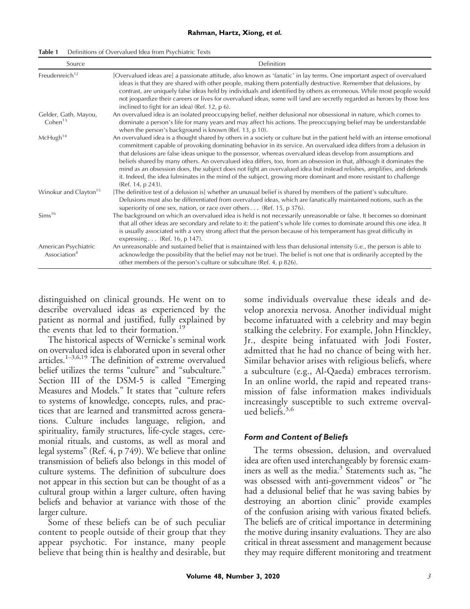| Source                                           | Definition                                                                                                                                                                                                                                                                                                                                                                                                                                                                                                                                                                                                                                                                                                                                                  |  |
|--------------------------------------------------|-------------------------------------------------------------------------------------------------------------------------------------------------------------------------------------------------------------------------------------------------------------------------------------------------------------------------------------------------------------------------------------------------------------------------------------------------------------------------------------------------------------------------------------------------------------------------------------------------------------------------------------------------------------------------------------------------------------------------------------------------------------|--|
| Freudenreich <sup>12</sup>                       | [Overvalued ideas are] a passionate attitude, also known as 'fanatic' in lay terms. One important aspect of overvalued<br>ideas is that they are shared with other people, making them potentially destructive. Remember that delusions, by<br>contrast, are uniquely false ideas held by individuals and identified by others as erroneous. While most people would<br>not jeopardize their careers or lives for overvalued ideas, some will (and are secretly regarded as heroes by those less<br>inclined to fight for an idea) (Ref. 12, p 6).                                                                                                                                                                                                          |  |
| Gelder, Gath, Mayou,<br>Cohen $13$               | An overvalued idea is an isolated preoccupying belief, neither delusional nor obsessional in nature, which comes to<br>dominate a person's life for many years and may affect his actions. The preoccupying belief may be understandable<br>when the person's background is known (Ref. 13, p 10).                                                                                                                                                                                                                                                                                                                                                                                                                                                          |  |
| McHugh <sup>14</sup>                             | An overvalued idea is a thought shared by others in a society or culture but in the patient held with an intense emotional<br>commitment capable of provoking dominating behavior in its service. An overvalued idea differs from a delusion in<br>that delusions are false ideas unique to the possessor, whereas overvalued ideas develop from assumptions and<br>beliefs shared by many others. An overvalued idea differs, too, from an obsession in that, although it dominates the<br>mind as an obsession does, the subject does not fight an overvalued idea but instead relishes, amplifies, and defends<br>it. Indeed, the idea fulminates in the mind of the subject, growing more dominant and more resistant to challenge<br>(Ref. 14, p 243). |  |
| Winokur and Clayton <sup>15</sup>                | [The definitive test of a delusion is] whether an unusual belief is shared by members of the patient's subculture.<br>Delusions must also be differentiated from overvalued ideas, which are fanatically maintained notions, such as the<br>superiority of one sex, nation, or race over others (Ref. 15, p 376).                                                                                                                                                                                                                                                                                                                                                                                                                                           |  |
| Sims <sup>16</sup>                               | The background on which an overvalued idea is held is not necessarily unreasonable or false. It becomes so dominant<br>that all other ideas are secondary and relate to it: the patient's whole life comes to dominate around this one idea. It<br>is usually associated with a very strong affect that the person because of his temperament has great difficulty in<br>expressing (Ref. 16, p 147).                                                                                                                                                                                                                                                                                                                                                       |  |
| American Psychiatric<br>Association <sup>4</sup> | An unreasonable and sustained belief that is maintained with less than delusional intensity (i.e., the person is able to<br>acknowledge the possibility that the belief may not be true). The belief is not one that is ordinarily accepted by the<br>other members of the person's culture or subculture (Ref. 4, p 826).                                                                                                                                                                                                                                                                                                                                                                                                                                  |  |

Table 1 Definitions of Overvalued Idea from Psychiatric Texts

distinguished on clinical grounds. He went on to describe overvalued ideas as experienced by the patient as normal and justified, fully explained by the events that led to their formation.<sup>19</sup>

The historical aspects of Wernicke's seminal work on overvalued idea is elaborated upon in several other articles.1–3,6,19 The definition of extreme overvalued belief utilizes the terms "culture" and "subculture." Section III of the DSM-5 is called "Emerging Measures and Models." It states that "culture refers to systems of knowledge, concepts, rules, and practices that are learned and transmitted across generations. Culture includes language, religion, and spirituality, family structures, life-cycle stages, ceremonial rituals, and customs, as well as moral and legal systems" (Ref. 4, p 749). We believe that online transmission of beliefs also belongs in this model of culture systems. The definition of subculture does not appear in this section but can be thought of as a cultural group within a larger culture, often having beliefs and behavior at variance with those of the larger culture.

Some of these beliefs can be of such peculiar content to people outside of their group that they appear psychotic. For instance, many people believe that being thin is healthy and desirable, but

some individuals overvalue these ideals and develop anorexia nervosa. Another individual might become infatuated with a celebrity and may begin stalking the celebrity. For example, John Hinckley, Jr., despite being infatuated with Jodi Foster, admitted that he had no chance of being with her. Similar behavior arises with religious beliefs, where a subculture (e.g., Al-Qaeda) embraces terrorism. In an online world, the rapid and repeated transmission of false information makes individuals increasingly susceptible to such extreme overvalued beliefs. $3,6$ 

### *Form and Content of Beliefs*

The terms obsession, delusion, and overvalued idea are often used interchangeably by forensic examiners as well as the media.<sup>3</sup> Statements such as, "he was obsessed with anti-government videos" or "he had a delusional belief that he was saving babies by destroying an abortion clinic" provide examples of the confusion arising with various fixated beliefs. The beliefs are of critical importance in determining the motive during insanity evaluations. They are also critical in threat assessment and management because they may require different monitoring and treatment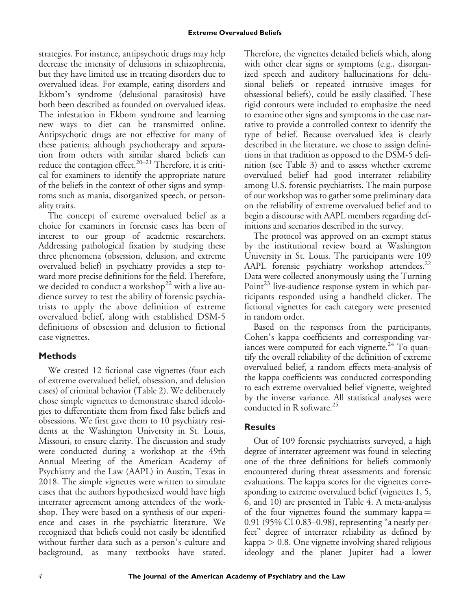strategies. For instance, antipsychotic drugs may help decrease the intensity of delusions in schizophrenia, but they have limited use in treating disorders due to overvalued ideas. For example, eating disorders and Ekbom's syndrome (delusional parasitosis) have both been described as founded on overvalued ideas. The infestation in Ekbom syndrome and learning new ways to diet can be transmitted online. Antipsychotic drugs are not effective for many of these patients; although psychotherapy and separation from others with similar shared beliefs can reduce the contagion effect.<sup>20–21</sup> Therefore, it is critical for examiners to identify the appropriate nature of the beliefs in the context of other signs and symptoms such as mania, disorganized speech, or personality traits.

The concept of extreme overvalued belief as a choice for examiners in forensic cases has been of interest to our group of academic researchers. Addressing pathological fixation by studying these three phenomena (obsession, delusion, and extreme overvalued belief) in psychiatry provides a step toward more precise definitions for the field. Therefore, we decided to conduct a workshop<sup>22</sup> with a live audience survey to test the ability of forensic psychiatrists to apply the above definition of extreme overvalued belief, along with established DSM-5 definitions of obsession and delusion to fictional case vignettes.

## **Methods**

We created 12 fictional case vignettes (four each of extreme overvalued belief, obsession, and delusion cases) of criminal behavior (Table 2). We deliberately chose simple vignettes to demonstrate shared ideologies to differentiate them from fixed false beliefs and obsessions. We first gave them to 10 psychiatry residents at the Washington University in St. Louis, Missouri, to ensure clarity. The discussion and study were conducted during a workshop at the 49th Annual Meeting of the American Academy of Psychiatry and the Law (AAPL) in Austin, Texas in 2018. The simple vignettes were written to simulate cases that the authors hypothesized would have high interrater agreement among attendees of the workshop. They were based on a synthesis of our experience and cases in the psychiatric literature. We recognized that beliefs could not easily be identified without further data such as a person's culture and background, as many textbooks have stated.

Therefore, the vignettes detailed beliefs which, along with other clear signs or symptoms (e.g., disorganized speech and auditory hallucinations for delusional beliefs or repeated intrusive images for obsessional beliefs), could be easily classified. These rigid contours were included to emphasize the need to examine other signs and symptoms in the case narrative to provide a controlled context to identify the type of belief. Because overvalued idea is clearly described in the literature, we chose to assign definitions in that tradition as opposed to the DSM-5 definition (see Table 3) and to assess whether extreme overvalued belief had good interrater reliability among U.S. forensic psychiatrists. The main purpose of our workshop was to gather some preliminary data on the reliability of extreme overvalued belief and to begin a discourse with AAPL members regarding definitions and scenarios described in the survey.

The protocol was approved on an exempt status by the institutional review board at Washington University in St. Louis. The participants were 109 AAPL forensic psychiatry workshop attendees. $^{22}$ Data were collected anonymously using the Turning Point<sup>23</sup> live-audience response system in which participants responded using a handheld clicker. The fictional vignettes for each category were presented in random order.

Based on the responses from the participants, Cohen's kappa coefficients and corresponding variances were computed for each vignette.<sup>24</sup> To quantify the overall reliability of the definition of extreme overvalued belief, a random effects meta-analysis of the kappa coefficients was conducted corresponding to each extreme overvalued belief vignette, weighted by the inverse variance. All statistical analyses were conducted in R software.25

## **Results**

Out of 109 forensic psychiatrists surveyed, a high degree of interrater agreement was found in selecting one of the three definitions for beliefs commonly encountered during threat assessments and forensic evaluations. The kappa scores for the vignettes corresponding to extreme overvalued belief (vignettes 1, 5, 6, and 10) are presented in Table 4. A meta-analysis of the four vignettes found the summary kappa  $=$ 0.91 (95% CI 0.83–0.98), representing "a nearly perfect" degree of interrater reliability as defined by kappa > 0.8. One vignette involving shared religious ideology and the planet Jupiter had a lower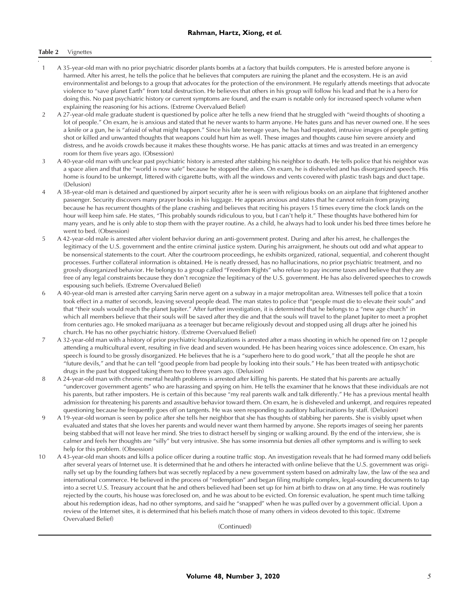#### Table 2 Vignettes

- 1 A 35-year-old man with no prior psychiatric disorder plants bombs at a factory that builds computers. He is arrested before anyone is harmed. After his arrest, he tells the police that he believes that computers are ruining the planet and the ecosystem. He is an avid environmentalist and belongs to a group that advocates for the protection of the environment. He regularly attends meetings that advocate violence to "save planet Earth" from total destruction. He believes that others in his group will follow his lead and that he is a hero for doing this. No past psychiatric history or current symptoms are found, and the exam is notable only for increased speech volume when explaining the reasoning for his actions. (Extreme Overvalued Belief)
- 2 A 27-year-old male graduate student is questioned by police after he tells a new friend that he struggled with "weird thoughts of shooting a lot of people." On exam, he is anxious and stated that he never wants to harm anyone. He hates guns and has never owned one. If he sees a knife or a gun, he is "afraid of what might happen." Since his late teenage years, he has had repeated, intrusive images of people getting shot or killed and unwanted thoughts that weapons could hurt him as well. These images and thoughts cause him severe anxiety and distress, and he avoids crowds because it makes these thoughts worse. He has panic attacks at times and was treated in an emergency room for them five years ago. (Obsession)
- 3 A 40-year-old man with unclear past psychiatric history is arrested after stabbing his neighbor to death. He tells police that his neighbor was a space alien and that the "world is now safe" because he stopped the alien. On exam, he is disheveled and has disorganized speech. His home is found to be unkempt, littered with cigarette butts, with all the windows and vents covered with plastic trash bags and duct tape. (Delusion)
- 4 A 38-year-old man is detained and questioned by airport security after he is seen with religious books on an airplane that frightened another passenger. Security discovers many prayer books in his luggage. He appears anxious and states that he cannot refrain from praying because he has recurrent thoughts of the plane crashing and believes that reciting his prayers 15 times every time the clock lands on the hour will keep him safe. He states, "This probably sounds ridiculous to you, but I can't help it." These thoughts have bothered him for many years, and he is only able to stop them with the prayer routine. As a child, he always had to look under his bed three times before he went to bed. (Obsession)
- 5 A 42-year-old male is arrested after violent behavior during an anti-government protest. During and after his arrest, he challenges the legitimacy of the U.S. government and the entire criminal justice system. During his arraignment, he shouts out odd and what appear to be nonsensical statements to the court. After the courtroom proceedings, he exhibits organized, rational, sequential, and coherent thought processes. Further collateral information is obtained. He is neatly dressed, has no hallucinations, no prior psychiatric treatment, and no grossly disorganized behavior. He belongs to a group called "Freedom Rights" who refuse to pay income taxes and believe that they are free of any legal constraints because they don't recognize the legitimacy of the U.S. government. He has also delivered speeches to crowds espousing such beliefs. (Extreme Overvalued Belief)
- 6 A 40-year-old man is arrested after carrying Sarin nerve agent on a subway in a major metropolitan area. Witnesses tell police that a toxin took effect in a matter of seconds, leaving several people dead. The man states to police that "people must die to elevate their souls" and that "their souls would reach the planet Jupiter." After further investigation, it is determined that he belongs to a "new age church" in which all members believe that their souls will be saved after they die and that the souls will travel to the planet Jupiter to meet a prophet from centuries ago. He smoked marijuana as a teenager but became religiously devout and stopped using all drugs after he joined his church. He has no other psychiatric history. (Extreme Overvalued Belief)
- 7 A 32-year-old man with a history of prior psychiatric hospitalizations is arrested after a mass shooting in which he opened fire on 12 people attending a multicultural event, resulting in five dead and seven wounded. He has been hearing voices since adolescence. On exam, his speech is found to be grossly disorganized. He believes that he is a "superhero here to do good work," that all the people he shot are "future devils," and that he can tell "good people from bad people by looking into their souls." He has been treated with antipsychotic drugs in the past but stopped taking them two to three years ago. (Delusion)
- 8 A 24-year-old man with chronic mental health problems is arrested after killing his parents. He stated that his parents are actually "undercover government agents" who are harassing and spying on him. He tells the examiner that he knows that these individuals are not his parents, but rather imposters. He is certain of this because "my real parents walk and talk differently." He has a previous mental health admission for threatening his parents and assaultive behavior toward them. On exam, he is disheveled and unkempt, and requires repeated questioning because he frequently goes off on tangents. He was seen responding to auditory hallucinations by staff. (Delusion)
- 9 A 19-year-old woman is seen by police after she tells her neighbor that she has thoughts of stabbing her parents. She is visibly upset when evaluated and states that she loves her parents and would never want them harmed by anyone. She reports images of seeing her parents being stabbed that will not leave her mind. She tries to distract herself by singing or walking around. By the end of the interview, she is calmer and feels her thoughts are "silly" but very intrusive. She has some insomnia but denies all other symptoms and is willing to seek help for this problem. (Obsession)
- 10 A 43-year-old man shoots and kills a police officer during a routine traffic stop. An investigation reveals that he had formed many odd beliefs after several years of Internet use. It is determined that he and others he interacted with online believe that the U.S. government was originally set up by the founding fathers but was secretly replaced by a new government system based on admiralty law, the law of the sea and international commerce. He believed in the process of "redemption" and began filing multiple complex, legal-sounding documents to tap into a secret U.S. Treasury account that he and others believed had been set up for him at birth to draw on at any time. He was routinely rejected by the courts, his house was foreclosed on, and he was about to be evicted. On forensic evaluation, he spent much time talking about his redemption ideas, had no other symptoms, and said he "snapped" when he was pulled over by a government official. Upon a review of the Internet sites, it is determined that his beliefs match those of many others in videos devoted to this topic. (Extreme Overvalued Belief)

(Continued)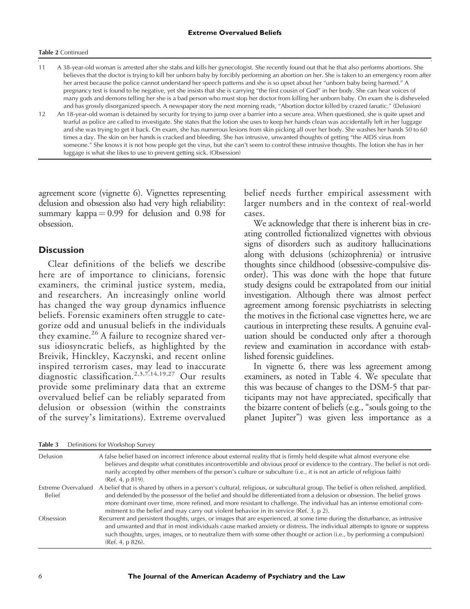#### Table 2 Continued

11 A 38-year-old woman is arrested after she stabs and kills her gynecologist. She recently found out that he that also performs abortions. She believes that the doctor is trying to kill her unborn baby by forcibly performing an abortion on her. She is taken to an emergency room after her arrest because the police cannot understand her speech patterns and she is so upset about her "unborn baby being harmed." A pregnancy test is found to be negative, yet she insists that she is carrying "the first cousin of God" in her body. She can hear voices of many gods and demons telling her she is a bad person who must stop her doctor from killing her unborn baby. On exam she is disheveled and has grossly disorganized speech. A newspaper story the next morning reads, "Abortion doctor killed by crazed fanatic." (Delusion)

12 An 18-year-old woman is detained by security for trying to jump over a barrier into a secure area. When questioned, she is quite upset and tearful as police are called to investigate. She states that the lotion she uses to keep her hands clean was accidentally left in her luggage and she was trying to get it back. On exam, she has numerous lesions from skin picking all over her body. She washes her hands 50 to 60 times a day. The skin on her hands is cracked and bleeding. She has intrusive, unwanted thoughts of getting "the AIDS virus from someone." She knows it is not how people get the virus, but she can't seem to control these intrusive thoughts. The lotion she has in her luggage is what she likes to use to prevent getting sick. (Obsession)

agreement score (vignette 6). Vignettes representing delusion and obsession also had very high reliability: summary kappa $= 0.99$  for delusion and 0.98 for obsession.

### **Discussion**

Clear definitions of the beliefs we describe here are of importance to clinicians, forensic examiners, the criminal justice system, media, and researchers. An increasingly online world has changed the way group dynamics influence beliefs. Forensic examiners often struggle to categorize odd and unusual beliefs in the individuals they examine.<sup>26</sup> A failure to recognize shared versus idiosyncratic beliefs, as highlighted by the Breivik, Hinckley, Kaczynski, and recent online inspired terrorism cases, may lead to inaccurate diagnostic classification.2,3,7,14,19,27 Our results provide some preliminary data that an extreme overvalued belief can be reliably separated from delusion or obsession (within the constraints of the survey's limitations). Extreme overvalued belief needs further empirical assessment with larger numbers and in the context of real-world cases.

We acknowledge that there is inherent bias in creating controlled fictionalized vignettes with obvious signs of disorders such as auditory hallucinations along with delusions (schizophrenia) or intrusive thoughts since childhood (obsessive-compulsive disorder). This was done with the hope that future study designs could be extrapolated from our initial investigation. Although there was almost perfect agreement among forensic psychiatrists in selecting the motives in the fictional case vignettes here, we are cautious in interpreting these results. A genuine evaluation should be conducted only after a thorough review and examination in accordance with established forensic guidelines.

In vignette 6, there was less agreement among examiners, as noted in Table 4. We speculate that this was because of changes to the DSM-5 that participants may not have appreciated, specifically that the bizarre content of beliefs (e.g., "souls going to the planet Jupiter") was given less importance as a

| Delusion                                   | A false belief based on incorrect inference about external reality that is firmly held despite what almost everyone else<br>believes and despite what constitutes incontrovertible and obvious proof or evidence to the contrary. The belief is not ordi-<br>narily accepted by other members of the person's culture or subculture (i.e., it is not an article of religious faith)<br>(Ref. 4, p 819).                                                                          |
|--------------------------------------------|----------------------------------------------------------------------------------------------------------------------------------------------------------------------------------------------------------------------------------------------------------------------------------------------------------------------------------------------------------------------------------------------------------------------------------------------------------------------------------|
| <b>Extreme Overvalued</b><br><b>Belief</b> | A belief that is shared by others in a person's cultural, religious, or subcultural group. The belief is often relished, amplified,<br>and defended by the possessor of the belief and should be differentiated from a delusion or obsession. The belief grows<br>more dominant over time, more refined, and more resistant to challenge. The individual has an intense emotional com-<br>mitment to the belief and may carry out violent behavior in its service (Ref. 3, p 2). |
| Obsession                                  | Recurrent and persistent thoughts, urges, or images that are experienced, at some time during the disturbance, as intrusive<br>and unwanted and that in most individuals cause marked anxiety or distress. The individual attempts to ignore or suppress<br>such thoughts, urges, images, or to neutralize them with some other thought or action (i.e., by performing a compulsion)<br>(Ref. 4, p 826).                                                                         |

Table 3 Definitions for Workshop Survey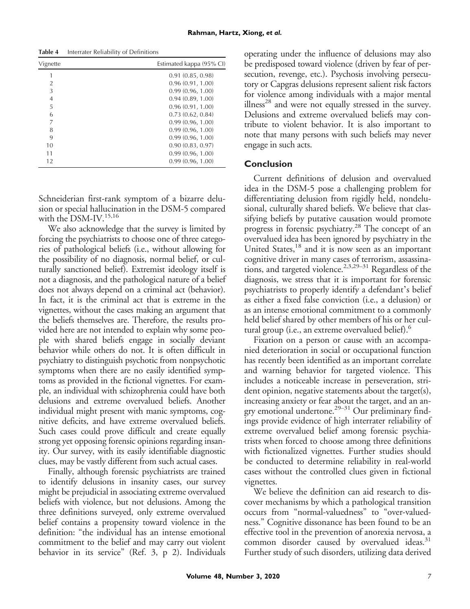| Vignette | Estimated kappa (95% CI) |
|----------|--------------------------|
|          | 0.91(0.85, 0.98)         |
| 2        | 0.96(0.91, 1.00)         |
| 3        | 0.99(0.96, 1.00)         |
| 4        | 0.94(0.89, 1.00)         |
| 5        | 0.96(0.91, 1.00)         |
| 6        | 0.73(0.62, 0.84)         |
| 7        | 0.99(0.96, 1.00)         |
| 8        | 0.99(0.96, 1.00)         |
| 9        | 0.99(0.96, 1.00)         |
| 10       | 0.90(0.83, 0.97)         |
| 11       | 0.99(0.96, 1.00)         |
| 12       | 0.99(0.96, 1.00)         |

Schneiderian first-rank symptom of a bizarre delusion or special hallucination in the DSM-5 compared with the DSM-IV.<sup>15,16</sup>

We also acknowledge that the survey is limited by forcing the psychiatrists to choose one of three categories of pathological beliefs (i.e., without allowing for the possibility of no diagnosis, normal belief, or culturally sanctioned belief). Extremist ideology itself is not a diagnosis, and the pathological nature of a belief does not always depend on a criminal act (behavior). In fact, it is the criminal act that is extreme in the vignettes, without the cases making an argument that the beliefs themselves are. Therefore, the results provided here are not intended to explain why some people with shared beliefs engage in socially deviant behavior while others do not. It is often difficult in psychiatry to distinguish psychotic from nonpsychotic symptoms when there are no easily identified symptoms as provided in the fictional vignettes. For example, an individual with schizophrenia could have both delusions and extreme overvalued beliefs. Another individual might present with manic symptoms, cognitive deficits, and have extreme overvalued beliefs. Such cases could prove difficult and create equally strong yet opposing forensic opinions regarding insanity. Our survey, with its easily identifiable diagnostic clues, may be vastly different from such actual cases.

Finally, although forensic psychiatrists are trained to identify delusions in insanity cases, our survey might be prejudicial in associating extreme overvalued beliefs with violence, but not delusions. Among the three definitions surveyed, only extreme overvalued belief contains a propensity toward violence in the definition: "the individual has an intense emotional commitment to the belief and may carry out violent behavior in its service" (Ref. 3, p 2). Individuals operating under the influence of delusions may also be predisposed toward violence (driven by fear of persecution, revenge, etc.). Psychosis involving persecutory or Capgras delusions represent salient risk factors for violence among individuals with a major mental illness<sup>28</sup> and were not equally stressed in the survey. Delusions and extreme overvalued beliefs may contribute to violent behavior. It is also important to note that many persons with such beliefs may never engage in such acts.

## **Conclusion**

Current definitions of delusion and overvalued idea in the DSM-5 pose a challenging problem for differentiating delusion from rigidly held, nondelusional, culturally shared beliefs. We believe that classifying beliefs by putative causation would promote progress in forensic psychiatry.<sup>28</sup> The concept of an overvalued idea has been ignored by psychiatry in the United States,<sup>18</sup> and it is now seen as an important cognitive driver in many cases of terrorism, assassinations, and targeted violence.<sup>2,3,29–31</sup> Regardless of the diagnosis, we stress that it is important for forensic psychiatrists to properly identify a defendant's belief as either a fixed false conviction (i.e., a delusion) or as an intense emotional commitment to a commonly held belief shared by other members of his or her cultural group (i.e., an extreme overvalued belief).<sup>6</sup>

Fixation on a person or cause with an accompanied deterioration in social or occupational function has recently been identified as an important correlate and warning behavior for targeted violence. This includes a noticeable increase in perseveration, strident opinion, negative statements about the target(s), increasing anxiety or fear about the target, and an angry emotional undertone.<sup>29–31</sup> Our preliminary findings provide evidence of high interrater reliability of extreme overvalued belief among forensic psychiatrists when forced to choose among three definitions with fictionalized vignettes. Further studies should be conducted to determine reliability in real-world cases without the controlled clues given in fictional vignettes.

We believe the definition can aid research to discover mechanisms by which a pathological transition occurs from "normal-valuedness" to "over-valuedness." Cognitive dissonance has been found to be an effective tool in the prevention of anorexia nervosa, a common disorder caused by overvalued ideas.<sup>31</sup> Further study of such disorders, utilizing data derived